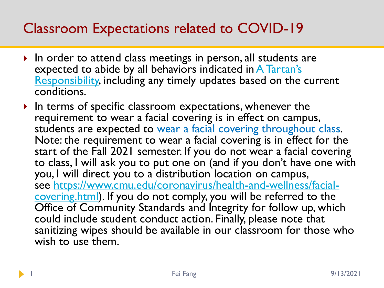#### Classroom Expectations related to COVID-19

- In order to attend class meetings in person, all students are expected to abide by all behaviors indicated in  $A$  Tartan's [Responsibility, including any timely updates based on the](https://www.cmu.edu/coronavirus/students/tartans-responsibility.html) current conditions.
- $\blacktriangleright$  In terms of specific classroom expectations, whenever the requirement to wear a facial covering is in effect on campus, students are expected to wear a facial covering throughout class. Note: the requirement to wear a facial covering is in effect for the start of the Fall 2021 semester. If you do not wear a facial covering to class, I will ask you to put one on (and if you don't have one with you, I will direct you to a distribution location on campus, see https://www.cmu.edu/coronavirus/health-and-wellness/facial[covering.html\). If you do not comply, you will be referred to the](https://www.cmu.edu/coronavirus/health-and-wellness/facial-covering.html)  Office of Community Standards and Integrity for follow up, which could include student conduct action. Finally, please note that sanitizing wipes should be available in our classroom for those who wish to use them.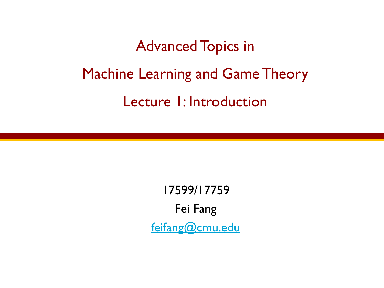# Advanced Topics in Machine Learning and Game Theory Lecture 1: Introduction

17599/17759 Fei Fang [feifang@cmu.edu](mailto:feifang@cmu.edu)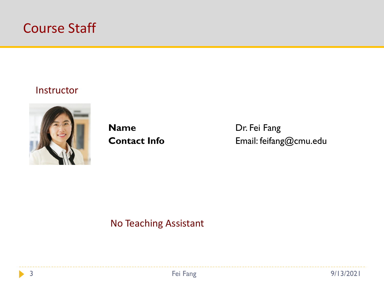

#### Instructor



**Name** Dr. Fei Fang

**Contact Info** Email: feifang@cmu.edu

No Teaching Assistant



b.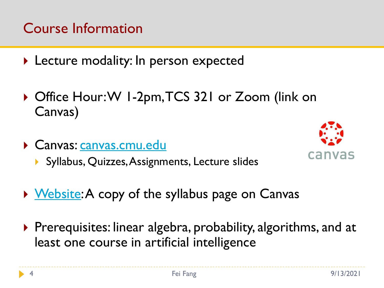# Course Information

- **Lecture modality: In person expected**
- ▶ Office Hour: W 1-2pm, TCS 321 or Zoom (link on Canvas)
- Canvas: [canvas.cmu.edu](http://canvas.cmu.edu/)
	- ▶ Syllabus, Quizzes, Assignments, Lecture slides



- ▶ [Website](https://feifang.info/advanced-topics-in-machine-learning-and-game-theory-fall-2021/): A copy of the syllabus page on Canvas
- $\triangleright$  Prerequisites: linear algebra, probability, algorithms, and at least one course in artificial intelligence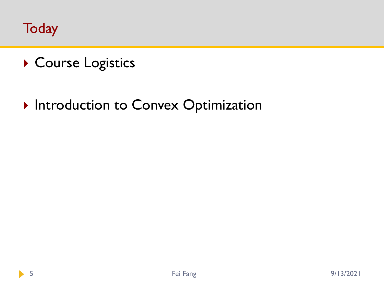**Today** 

- ▶ Course Logistics
- **Introduction to Convex Optimization**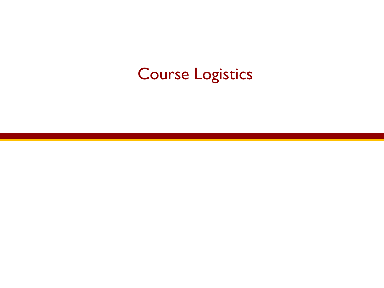# Course Logistics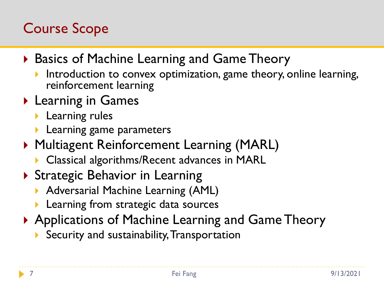# Course Scope

- ▶ Basics of Machine Learning and Game Theory
	- Introduction to convex optimization, game theory, online learning, reinforcement learning
- ▶ Learning in Games
	- **Learning rules**
	- $\blacktriangleright$  Learning game parameters
- ▶ Multiagent Reinforcement Learning (MARL)
	- **Classical algorithms/Recent advances in MARL**
- ▶ Strategic Behavior in Learning
	- **Adversarial Machine Learning (AML)**
	- **Learning from strategic data sources**
- ▶ Applications of Machine Learning and Game Theory
	- Security and sustainability,Transportation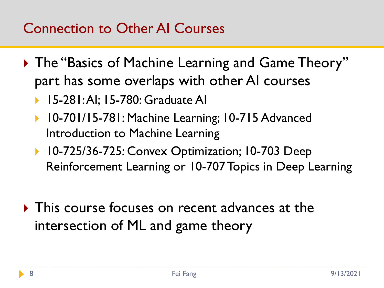# Connection to Other AI Courses

- ▶ The "Basics of Machine Learning and Game Theory" part has some overlaps with other AI courses
	- 15-281: AI; 15-780: Graduate AI
	- ▶ 10-701/15-781: Machine Learning; 10-715 Advanced Introduction to Machine Learning
	- ▶ 10-725/36-725: Convex Optimization; 10-703 Deep Reinforcement Learning or 10-707 Topics in Deep Learning
- $\triangleright$  This course focuses on recent advances at the intersection of ML and game theory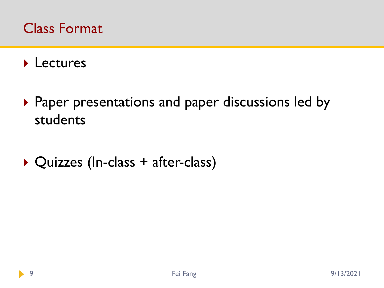#### Class Format

#### **Lectures**

- ▶ Paper presentations and paper discussions led by students
- ▶ Quizzes (In-class + after-class)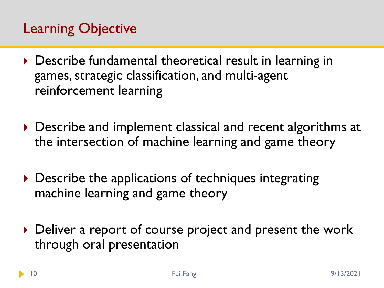# Learning Objective

- ▶ Describe fundamental theoretical result in learning in games, strategic classification, and multi-agent reinforcement learning
- ▶ Describe and implement classical and recent algorithms at the intersection of machine learning and game theory
- Describe the applications of techniques integrating machine learning and game theory
- Deliver a report of course project and present the work through oral presentation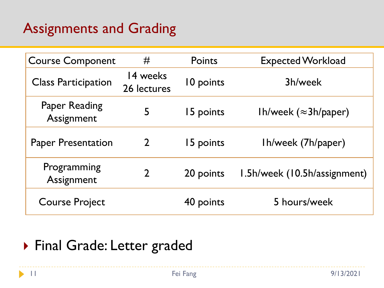# Assignments and Grading

| <b>Course Component</b>            | #                       | Points    | <b>Expected Workload</b>     |
|------------------------------------|-------------------------|-----------|------------------------------|
| <b>Class Participation</b>         | 14 weeks<br>26 lectures | 10 points | 3h/week                      |
| <b>Paper Reading</b><br>Assignment | 5                       | 15 points | Ih/week $(\approx 3h/paper)$ |
| <b>Paper Presentation</b>          | $\overline{2}$          | 15 points | Ih/week (7h/paper)           |
| Programming<br>Assignment          | $\mathcal{P}$           | 20 points | 1.5h/week (10.5h/assignment) |
| <b>Course Project</b>              |                         | 40 points | 5 hours/week                 |

### Final Grade: Letter graded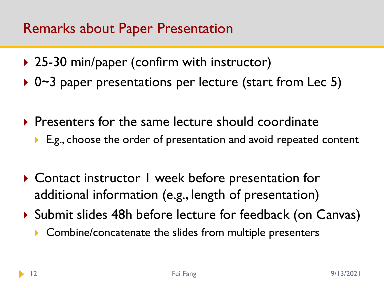#### Remarks about Paper Presentation

- ▶ 25-30 min/paper (confirm with instructor)
- ▶ 0~3 paper presentations per lecture (start from Lec 5)
- $\triangleright$  Presenters for the same lecture should coordinate
	- E.g., choose the order of presentation and avoid repeated content
- ▶ Contact instructor I week before presentation for additional information (e.g., length of presentation)
- ▶ Submit slides 48h before lecture for feedback (on Canvas)
	- ▶ Combine/concatenate the slides from multiple presenters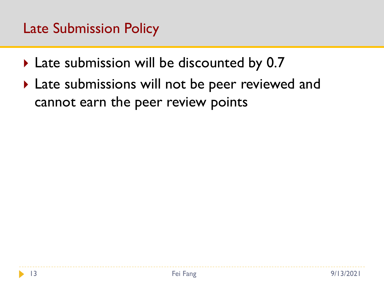### Late Submission Policy

- ▶ Late submission will be discounted by 0.7
- ▶ Late submissions will not be peer reviewed and cannot earn the peer review points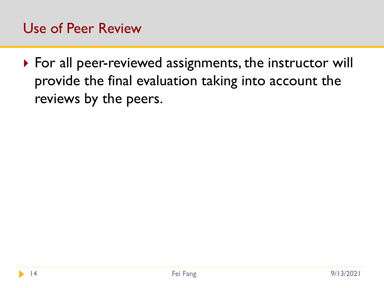#### Use of Peer Review

▶ For all peer-reviewed assignments, the instructor will provide the final evaluation taking into account the reviews by the peers.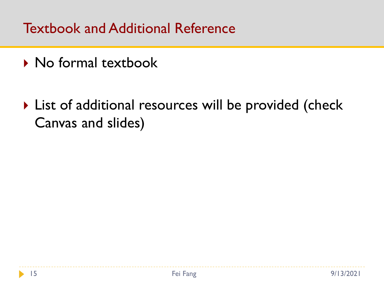Textbook and Additional Reference

- ▶ No formal textbook
- ▶ List of additional resources will be provided (check Canvas and slides)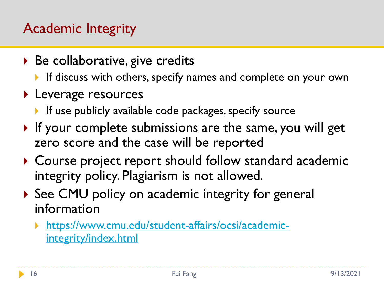# Academic Integrity

- $\triangleright$  Be collaborative, give credits
	- If discuss with others, specify names and complete on your own
- **Leverage resources** 
	- If use publicly available code packages, specify source
- If your complete submissions are the same, you will get zero score and the case will be reported
- ▶ Course project report should follow standard academic integrity policy. Plagiarism is not allowed.
- ▶ See CMU policy on academic integrity for general information
	- [https://www.cmu.edu/student-affairs/ocsi/academic](https://www.cmu.edu/student-affairs/ocsi/academic-integrity/index.html)integrity/index.html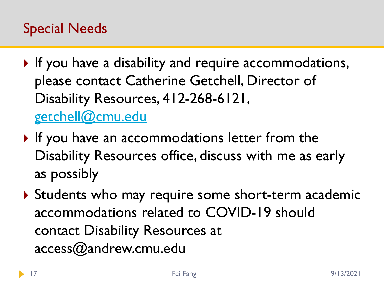# Special Needs

- If you have a disability and require accommodations, please contact Catherine Getchell, Director of Disability Resources, 412-268-6121, [getchell@cmu.edu](mailto:getchell@cmu.edu)
- If you have an accommodations letter from the Disability Resources office, discuss with me as early as possibly
- ▶ Students who may require some short-term academic accommodations related to COVID-19 should contact Disability Resources at access@andrew.cmu.edu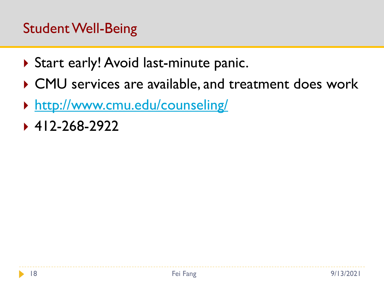- ▶ Start early! Avoid last-minute panic.
- ▶ CMU services are available, and treatment does work
- <http://www.cmu.edu/counseling/>
- ◆ 412-268-2922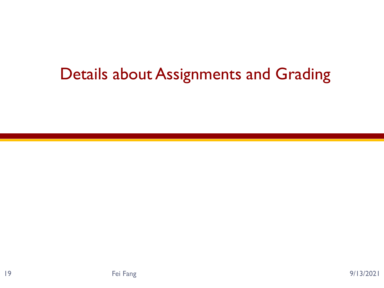# Details about Assignments and Grading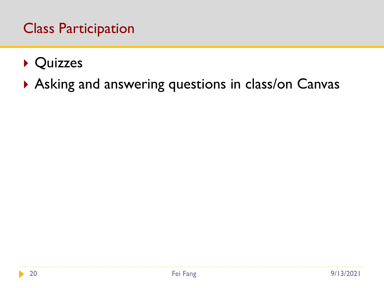#### Class Participation

- ▶ Quizzes
- Asking and answering questions in class/on Canvas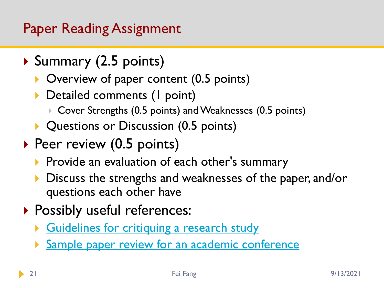# Paper Reading Assignment

- ▶ Summary (2.5 points)
	- ▶ Overview of paper content (0.5 points)
	- Detailed comments (I point)
		- ▶ Cover Strengths (0.5 points) and Weaknesses (0.5 points)
	- **Questions or Discussion (0.5 points)**
- $\triangleright$  Peer review (0.5 points)
	- Provide an evaluation of each other's summary
	- Discuss the strengths and weaknesses of the paper, and/or questions each other have
- **Possibly useful references:** 
	- [Guidelines for critiquing a research study](http://geekyartistlibrarian.pbworks.com/f/Quals+Sp+10+Critiqueguidlines_DC(2).pdf)
	- **[Sample paper review for an academic conference](http://www.sis.pitt.edu/jjoshi/IS2935/Sample_review.pdf)**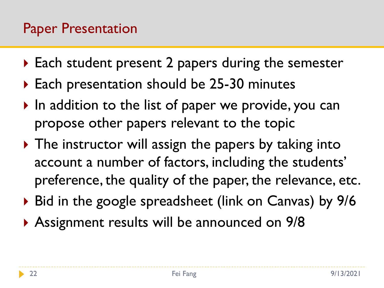- ▶ Each student present 2 papers during the semester
- ▶ Each presentation should be 25-30 minutes
- $\triangleright$  In addition to the list of paper we provide, you can propose other papers relevant to the topic
- ▶ The instructor will assign the papers by taking into account a number of factors, including the students' preference, the quality of the paper, the relevance, etc.
- ▶ Bid in the google spreadsheet (link on Canvas) by 9/6
- Assignment results will be announced on 9/8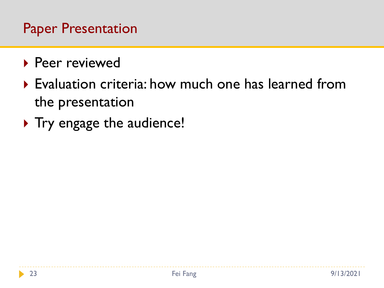#### Paper Presentation

- ▶ Peer reviewed
- Evaluation criteria: how much one has learned from the presentation
- ▶ Try engage the audience!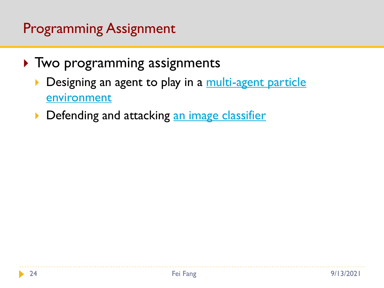# Programming Assignment

- ▶ Two programming assignments
	- [Designing an agent to play in a](https://github.com/openai/multiagent-particle-envs) multi-agent particle **environment**
	- **Defending and attacking [an image classifier](https://adversarial-ml-tutorial.org/introduction/)**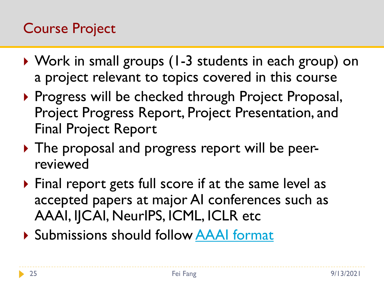# Course Project

- ▶ Work in small groups (1-3 students in each group) on a project relevant to topics covered in this course
- ▶ Progress will be checked through Project Proposal, Project Progress Report, Project Presentation, and Final Project Report
- The proposal and progress report will be peerreviewed
- ▶ Final report gets full score if at the same level as accepted papers at major AI conferences such as AAAI, IJCAI, NeurIPS, ICML, ICLR etc
- Submissions should follow [AAAI format](https://www.aaai.org/Publications/Templates/AuthorKit21.zip)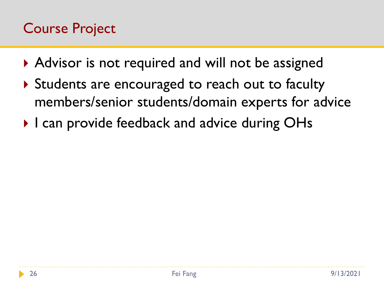# Course Project

- ▶ Advisor is not required and will not be assigned
- Students are encouraged to reach out to faculty members/senior students/domain experts for advice
- ▶ I can provide feedback and advice during OHs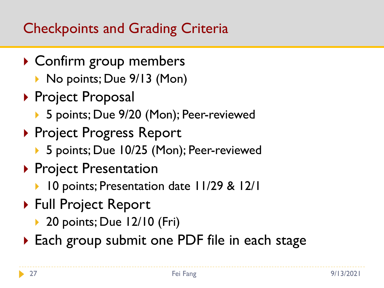# Checkpoints and Grading Criteria

- ▶ Confirm group members
	- ▶ No points; Due 9/13 (Mon)
- ▶ Project Proposal
	- ▶ 5 points; Due 9/20 (Mon); Peer-reviewed
- ▶ Project Progress Report
	- ▶ 5 points; Due 10/25 (Mon); Peer-reviewed
- ▶ Project Presentation
	- ▶ 10 points; Presentation date 11/29 & 12/1
- ▶ Full Project Report
	- ▶ 20 points; Due 12/10 (Fri)
- ▶ Each group submit one PDF file in each stage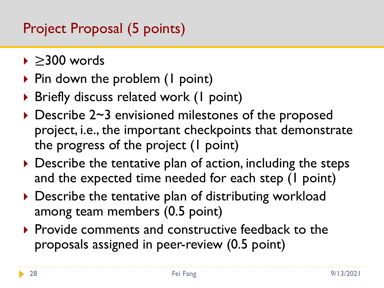# Project Proposal (5 points)

- ≥300 words
- $\triangleright$  Pin down the problem (1 point)
- ▶ Briefly discuss related work (1 point)
- ▶ Describe 2~3 envisioned milestones of the proposed project, i.e., the important checkpoints that demonstrate the progress of the project (1 point)
- $\triangleright$  Describe the tentative plan of action, including the steps and the expected time needed for each step (1 point)
- ▶ Describe the tentative plan of distributing workload among team members (0.5 point)
- $\triangleright$  Provide comments and constructive feedback to the proposals assigned in peer-review (0.5 point)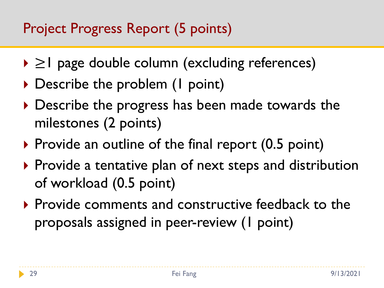# Project Progress Report (5 points)

- ≥1 page double column (excluding references)
- ▶ Describe the problem (1 point)
- Describe the progress has been made towards the milestones (2 points)
- $\triangleright$  Provide an outline of the final report (0.5 point)
- ▶ Provide a tentative plan of next steps and distribution of workload (0.5 point)
- Provide comments and constructive feedback to the proposals assigned in peer-review (1 point)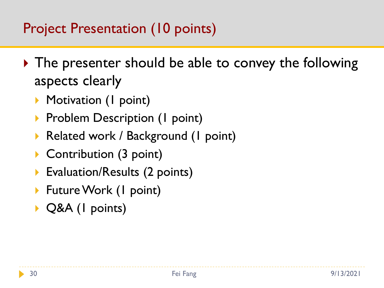# Project Presentation (10 points)

- ▶ The presenter should be able to convey the following aspects clearly
	- **Motivation (I point)**
	- **Problem Description (I point)**
	- ▶ Related work / Background (1 point)
	- ▶ Contribution (3 point)
	- **Evaluation/Results (2 points)**
	- ▶ Future Work (1 point)
	- ▶ Q&A (I points)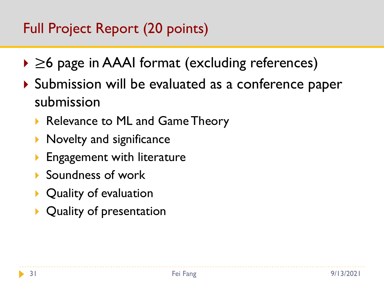# Full Project Report (20 points)

- ≥6 page in AAAI format (excluding references)
- ▶ Submission will be evaluated as a conference paper submission
	- Relevance to ML and Game Theory
	- $\triangleright$  Novelty and significance
	- Engagement with literature
	- ▶ Soundness of work
	- ▶ Quality of evaluation
	- ▶ Quality of presentation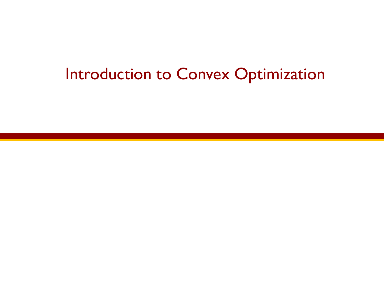# Introduction to Convex Optimization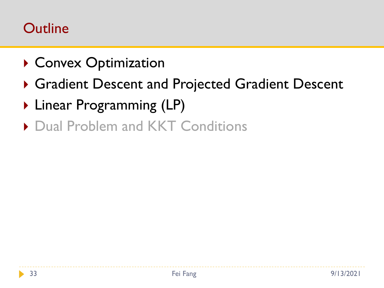#### **Outline**

- ▶ Convex Optimization
- Gradient Descent and Projected Gradient Descent
- ▶ Linear Programming (LP)
- ▶ Dual Problem and KKT Conditions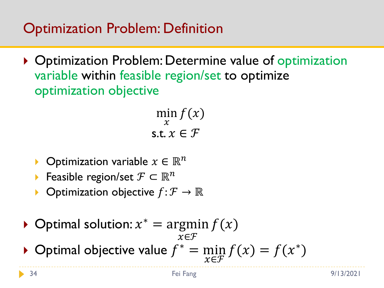# Optimization Problem: Definition

▶ Optimization Problem: Determine value of optimization variable within feasible region/set to optimize optimization objective

> min  $\mathcal{X}$  $f(x)$ s.t.  $x \in \mathcal{F}$

- Optimization variable  $x \in \mathbb{R}^n$
- Feasible region/set  $\mathcal{F} \subset \mathbb{R}^n$
- Optimization objective  $f: \mathcal{F} \to \mathbb{R}$
- ▶ Optimal solution:  $x^* = \argmin f(x)$  $x \in \mathcal{F}$

▶ Optimal objective value  $f^* = \min_{n \in \mathbb{Z}} f_n$  $x \in \mathcal{F}$  $f(x) = f(x^*)$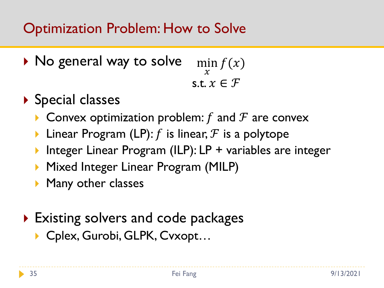# Optimization Problem: How to Solve

- ▶ No general way to solve min  $\mathcal{X}$  $f(x)$ s.t.  $x \in \mathcal{F}$
- ▶ Special classes
	- **Convex optimization problem:** f and F are convex
	- **Linear Program (LP):** f is linear,  $F$  is a polytope
	- ▶ Integer Linear Program (ILP): LP + variables are integer
	- **Mixed Integer Linear Program (MILP)**
	- **Many other classes**
- ▶ Existing solvers and code packages ▶ Cplex, Gurobi, GLPK, Cvxopt...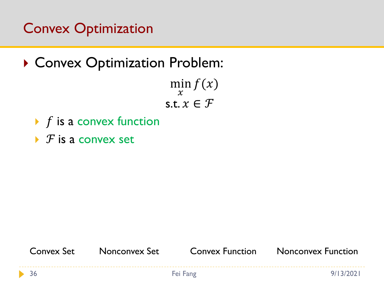# Convex Optimization

▶ Convex Optimization Problem:

min  $\mathcal{X}$  $f(x)$ s.t.  $x \in \mathcal{F}$ 

- $\blacktriangleright$  f is a convex function
- $\triangleright$  *F* is a convex set

36 Fei Fang 9/13/2021 Convex Set Nonconvex Set Convex Function Nonconvex Function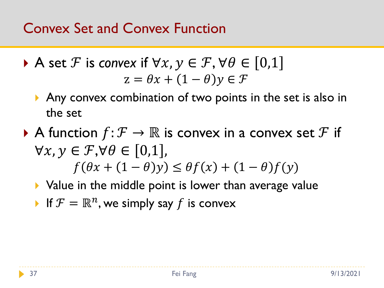# Convex Set and Convex Function

A set 
$$
\mathcal{F}
$$
 is convex if  $\forall x, y \in \mathcal{F}, \forall \theta \in [0,1]$   

$$
z = \theta x + (1 - \theta)y \in \mathcal{F}
$$

- Any convex combination of two points in the set is also in the set
- A function  $f: \mathcal{F} \to \mathbb{R}$  is convex in a convex set  $\mathcal{F}$  if  $\forall x, y \in \mathcal{F}, \forall \theta \in [0,1],$  $f(\theta x + (1 - \theta)y) \leq \theta f(x) + (1 - \theta)f(y)$ 
	- ▶ Value in the middle point is lower than average value
	- If  $F = \mathbb{R}^n$ , we simply say f is convex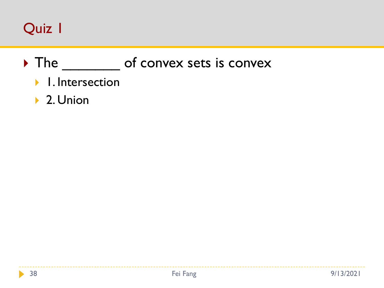# Quiz 1

# The of convex sets is convex

- **1.** Intersection
- ▶ 2. Union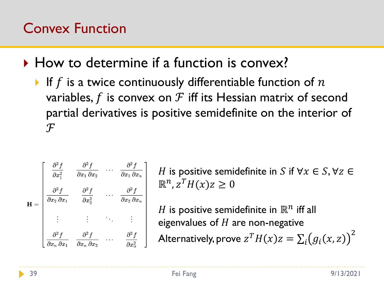# Convex Function

- How to determine if a function is convex?
	- If f is a twice continuously differentiable function of  $n$ variables, f is convex on  $\mathcal F$  iff its Hessian matrix of second partial derivatives is positive semidefinite on the interior of  $\mathcal F$

$$
\mathbf{H} = \begin{bmatrix} \frac{\partial^2 f}{\partial x_1^2} & \frac{\partial^2 f}{\partial x_1 \partial x_2} & \cdots & \frac{\partial^2 f}{\partial x_1 \partial x_n} \\ \frac{\partial^2 f}{\partial x_2 \partial x_1} & \frac{\partial^2 f}{\partial x_2^2} & \cdots & \frac{\partial^2 f}{\partial x_2 \partial x_n} \\ \vdots & \vdots & \ddots & \vdots \\ \frac{\partial^2 f}{\partial x_n \partial x_1} & \frac{\partial^2 f}{\partial x_n \partial x_2} & \cdots & \frac{\partial^2 f}{\partial x_n^2} \end{bmatrix}
$$

H is positive semidefinite in S if  $\forall x \in S, \forall z \in$  $\mathbb{R}^n$ ,  $z^T H(x) z \geq 0$ 

 $H$  is positive semidefinite in  $\mathbb{R}^n$  iff all eigenvalues of  $H$  are non-negative Alternatively, prove  $\displaystyle z^TH(x)z=\sum_i\bigl(g_i(x,z)\bigr)^2$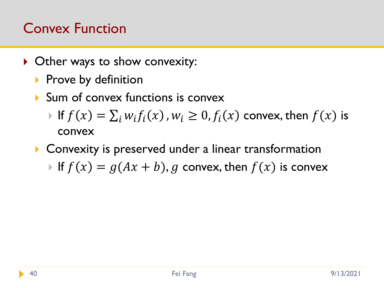# Convex Function

- ▶ Other ways to show convexity:
	- Prove by definition
	- Sum of convex functions is convex
		- If  $f(x) = \sum_i w_i f_i(x)$ ,  $w_i \ge 0$ ,  $f_i(x)$  convex, then  $f(x)$  is convex
	- **Convexity is preserved under a linear transformation** If  $f(x) = g(Ax + b)$ , g convex, then  $f(x)$  is convex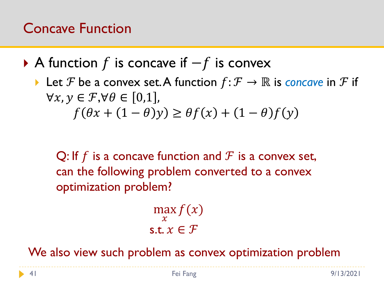# Concave Function

- A function f is concave if  $-f$  is convex
	- Let F be a convex set. A function  $f: \mathcal{F} \to \mathbb{R}$  is *concave* in F if  $\forall x, y \in \mathcal{F}, \forall \theta \in [0,1],$  $f(\theta x + (1 - \theta)y) \geq \theta f(x) + (1 - \theta)f(y)$

Q: If f is a concave function and  $\mathcal F$  is a convex set, can the following problem converted to a convex optimization problem?

$$
\max_{x} f(x)
$$
  
s.t.  $x \in \mathcal{F}$ 

We also view such problem as convex optimization problem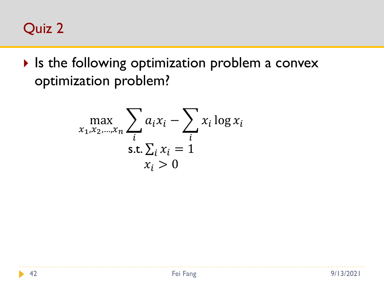

If Is the following optimization problem a convex optimization problem?

$$
\max_{x_1, x_2, \dots, x_n} \sum_i a_i x_i - \sum_i x_i \log x_i
$$
  
s.t.  $\sum_i x_i = 1$   
 $x_i > 0$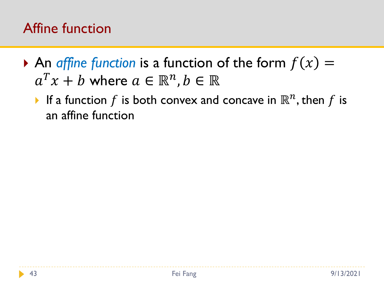# Affine function

- $\triangleright$  An *affine function* is a function of the form  $f(x) =$  $a^T x + b$  where  $a \in \mathbb{R}^n$ ,  $b \in \mathbb{R}$ 
	- If a function  $f$  is both convex and concave in  $\mathbb{R}^n$ , then  $f$  is an affine function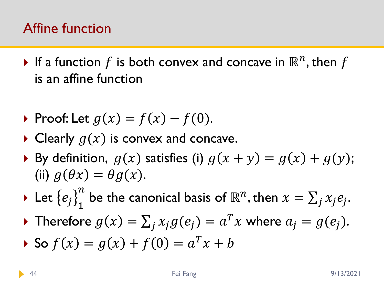# Affine function

 $\blacktriangleright$  If a function  $f$  is both convex and concave in  $\mathbb{R}^n,$  then  $f$ is an affine function

$$
\text{Proof: Let } g(x) = f(x) - f(0).
$$

- $\triangleright$  Clearly  $g(x)$  is convex and concave.
- By definition,  $g(x)$  satisfies (i)  $g(x + y) = g(x) + g(y);$ (ii)  $q(\theta x) = \theta q(x)$ .
- $\blacktriangleright$  Let  $\left\{e_j\right\}_1^n$  $\frac{n}{1}$  be the canonical basis of  $\mathbb{R}^n$ , then  $x = \sum_j x_j e_j$ .
- Therefore  $g(x) = \sum_j x_j g(e_j) = a^T x$  where  $a_j = g(e_j)$ .
- So  $f(x) = g(x) + f(0) = a^T x + b$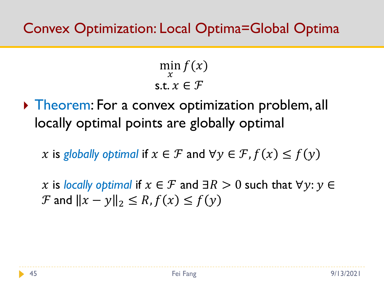#### Convex Optimization: Local Optima=Global Optima

min  $\mathcal{X}$  $f(x)$ s.t.  $x \in \mathcal{F}$ 

**Theorem: For a convex optimization problem, all** locally optimal points are globally optimal

x is globally optimal if  $x \in \mathcal{F}$  and  $\forall y \in \mathcal{F}$ ,  $f(x) \leq f(y)$ 

x is *locally optimal* if  $x \in \mathcal{F}$  and  $\exists R > 0$  such that  $\forall y: y \in$  $\mathcal F$  and  $||x - y||_2 \leq R$ ,  $f(x) \leq f(y)$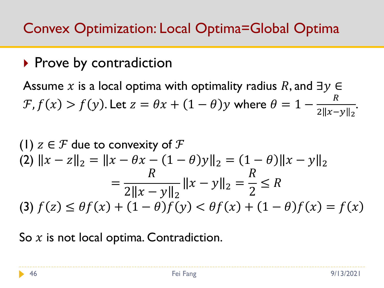# Convex Optimization: Local Optima=Global Optima

## $\triangleright$  Prove by contradiction

Assume x is a local optima with optimality radius R, and  $\exists y \in$  $\mathcal{F}, f(x) > f(y)$ . Let  $z = \theta x + (1 - \theta)y$  where  $\theta = 1 - \theta$  $\overline{R}$  $2||x-y||_2$ .

(1) 
$$
z \in \mathcal{F}
$$
 due to convexity of  $\mathcal{F}$   
\n(2)  $||x - z||_2 = ||x - \theta x - (1 - \theta)y||_2 = (1 - \theta)||x - y||_2$   
\n
$$
= \frac{R}{2||x - y||_2} ||x - y||_2 = \frac{R}{2} \le R
$$
\n(3)  $f(z) \le \theta f(x) + (1 - \theta)f(y) < \theta f(x) + (1 - \theta)f(x) = f(x)$ 

So  $x$  is not local optima. Contradiction.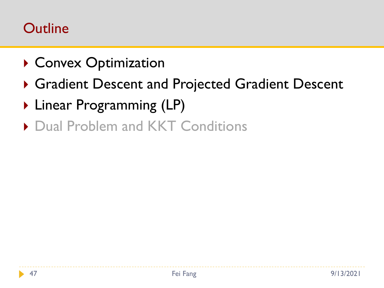#### **Outline**

- ▶ Convex Optimization
- Gradient Descent and Projected Gradient Descent
- ▶ Linear Programming (LP)
- ▶ Dual Problem and KKT Conditions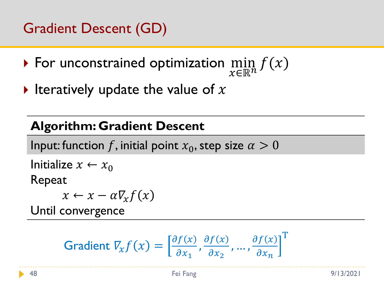# Gradient Descent (GD)

- $\triangleright$  For unconstrained optimization  $\min_{n\in\mathbb{N}}$  $x \in \mathbb{R}^n$  $f(x)$
- Iteratively update the value of  $x$

#### **Algorithm: Gradient Descent**

Input: function f, initial point  $x_0$ , step size  $\alpha > 0$ 

Initialize  $x \leftarrow x_0$ Repeat

 $x \leftarrow x - \alpha \nabla_x f(x)$ 

Until convergence

Gradient 
$$
V_{x} f(x) = \left[\frac{\partial f(x)}{\partial x_1}, \frac{\partial f(x)}{\partial x_2}, \dots, \frac{\partial f(x)}{\partial x_n}\right]^T
$$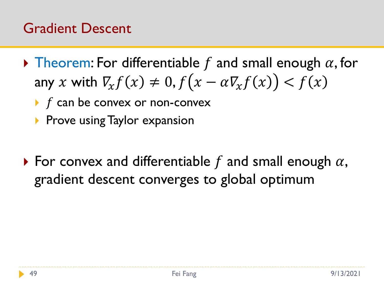#### Gradient Descent

- $\triangleright$  Theorem: For differentiable f and small enough  $\alpha$ , for any x with  $\nabla_x f(x) \neq 0, f(x - \alpha \nabla_x f(x)) < f(x)$ 
	- $\triangleright$  f can be convex or non-convex
	- $\triangleright$  Prove using Taylor expansion
- $\triangleright$  For convex and differentiable f and small enough  $\alpha$ , gradient descent converges to global optimum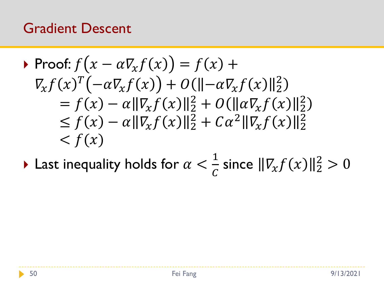#### Gradient Descent

► Proof: 
$$
f(x - \alpha \nabla_x f(x)) = f(x) +
$$
  
\n
$$
\nabla_x f(x)^T (-\alpha \nabla_x f(x)) + O(||-\alpha \nabla_x f(x)||_2^2)
$$
\n
$$
= f(x) - \alpha ||\nabla_x f(x)||_2^2 + O(||\alpha \nabla_x f(x)||_2^2)
$$
\n
$$
\leq f(x) - \alpha ||\nabla_x f(x)||_2^2 + C\alpha^2 ||\nabla_x f(x)||_2^2
$$
\n
$$
< f(x)
$$

 $\blacktriangleright$  Last inequality holds for  $\alpha <$ 1  $\frac{1}{c}$  since  $\|\nabla_x f(x)\|_2^2 > 0$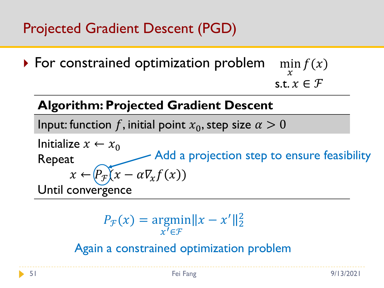# Projected Gradient Descent (PGD)

▶ For constrained optimization problem min  $\mathcal{X}$  $f(x)$ s.t.  $x \in \mathcal{F}$ 

#### **Algorithm: Projected Gradient Descent**

Input: function f, initial point  $x_0$ , step size  $\alpha > 0$ 

Initialize  $x \leftarrow x_0$ Repeat  $x \leftarrow (P_{\mathcal{F}}(x - \alpha \nabla_{\mathcal{X}} f(x))$ Until convergence Add a projection step to ensure feasibility

$$
P_{\mathcal{F}}(x) = \underset{x' \in \mathcal{F}}{\operatorname{argmin}} \|x - x'\|_2^2
$$

Again a constrained optimization problem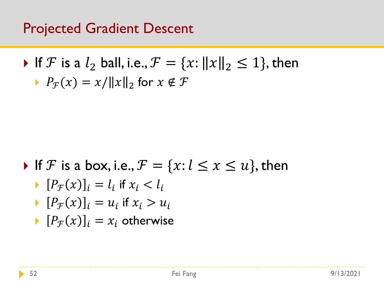#### Projected Gradient Descent

\n- If 
$$
\mathcal F
$$
 is a  $l_2$  ball, i.e.,  $\mathcal F = \{x : ||x||_2 \le 1\}$ , then
\n- $P_{\mathcal F}(x) = x/||x||_2$  for  $x \notin \mathcal F$
\n

If F is a box, i.e.,  $F = \{x: l \le x \le u\}$ , then

$$
\blacktriangleright \ [P_{\mathcal{F}}(x)]_i = l_i \text{ if } x_i < l_i
$$

$$
\blacktriangleright [P_{\mathcal{F}}(x)]_i = u_i \text{ if } x_i > u_i
$$

 $[P_{\mathcal{F}}(x)]_i = x_i$  otherwise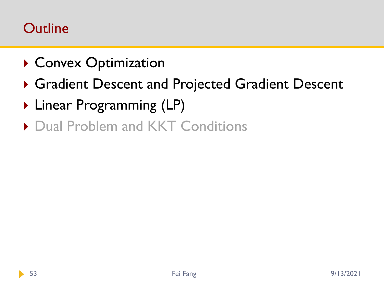#### **Outline**

- ▶ Convex Optimization
- Gradient Descent and Projected Gradient Descent
- ▶ Linear Programming (LP)
- ▶ Dual Problem and KKT Conditions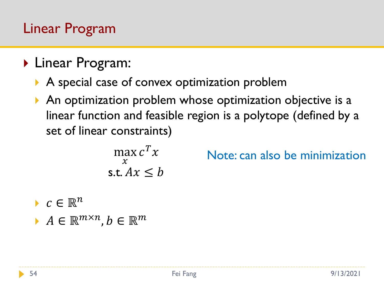#### Linear Program

- ▶ Linear Program:
	- A special case of convex optimization problem
	- An optimization problem whose optimization objective is a linear function and feasible region is a polytope (defined by a set of linear constraints)

$$
\max_{x} c^T x
$$
  
s.t.  $Ax \leq b$ 

Note: can also be minimization

- $c \in \mathbb{R}^n$
- $A \in \mathbb{R}^{m \times n}, b \in \mathbb{R}^m$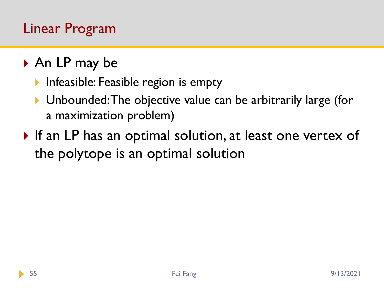# Linear Program

- ▶ An LP may be
	- Infeasible: Feasible region is empty
	- ▶ Unbounded: The objective value can be arbitrarily large (for a maximization problem)
- If an LP has an optimal solution, at least one vertex of the polytope is an optimal solution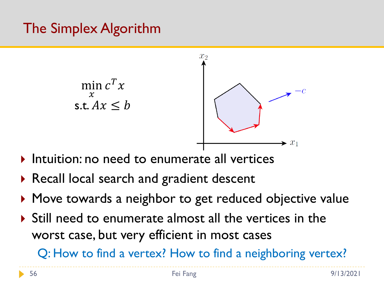# The Simplex Algorithm



- Intuition: no need to enumerate all vertices
- ▶ Recall local search and gradient descent
- ▶ Move towards a neighbor to get reduced objective value
- Still need to enumerate almost all the vertices in the worst case, but very efficient in most cases

Q: How to find a vertex? How to find a neighboring vertex?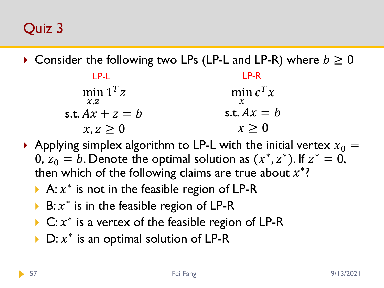Quiz 3

 $\triangleright$  Consider the following two LPs (LP-L and LP-R) where  $b \geq 0$ 

| LP-L                            | LP-R          |
|---------------------------------|---------------|
| min $1^T z$<br>$\mathcal{X}, Z$ | min $c^T x$   |
| s.t. $Ax + z = b$               | s.t. $Ax = b$ |
| $x, z \geq 0$                   | $x \geq 0$    |

- Applying simplex algorithm to LP-L with the initial vertex  $x_0 =$ 0,  $z_0 = b$ . Denote the optimal solution as  $(x^*, z^*)$ . If  $z^* = 0$ , then which of the following claims are true about  $x^*$ ?
	- A:  $x^*$  is not in the feasible region of LP-R
	- ▶ B:  $x^*$  is in the feasible region of LP-R
	- ▶ C:  $x^*$  is a vertex of the feasible region of LP-R
	- ▶ D:  $x^*$  is an optimal solution of LP-R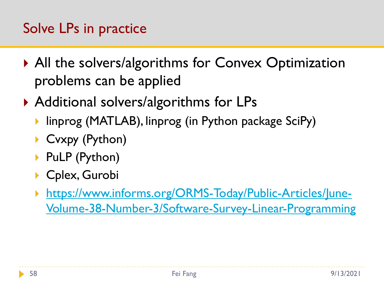# Solve LPs in practice

- ▶ All the solvers/algorithms for Convex Optimization problems can be applied
- ▶ Additional solvers/algorithms for LPs
	- ▶ linprog (MATLAB), linprog (in Python package SciPy)
	- ▶ Cvxpy (Python)
	- ▶ PuLP (Python)
	- ▶ Cplex, Gurobi
	- https://www.informs.org/ORMS-Today/Public-Articles/June-[Volume-38-Number-3/Software-Survey-Linear-Programming](https://www.informs.org/ORMS-Today/Public-Articles/June-Volume-38-Number-3/Software-Survey-Linear-Programming)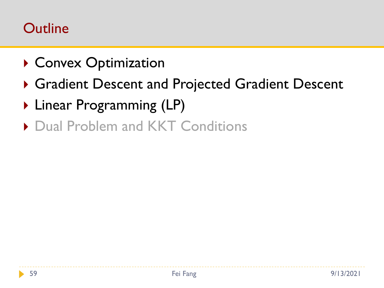#### **Outline**

- ▶ Convex Optimization
- Gradient Descent and Projected Gradient Descent
- ▶ Linear Programming (LP)
- ▶ Dual Problem and KKT Conditions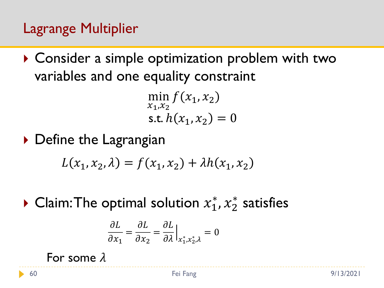# Lagrange Multiplier

▶ Consider a simple optimization problem with two variables and one equality constraint

> min  $x_1,x_2$  $f(x_1, x_2)$ s.t.  $h(x_1, x_2) = 0$

▶ Define the Lagrangian

 $L(x_1, x_2, \lambda) = f(x_1, x_2) + \lambda h(x_1, x_2)$ 

▶ Claim: The optimal solution  $x_1^*, x_2^*$  satisfies

$$
\frac{\partial L}{\partial x_1} = \frac{\partial L}{\partial x_2} = \frac{\partial L}{\partial \lambda}\Big|_{x_1^*, x_2^*, \lambda} = 0
$$

For some  $\lambda$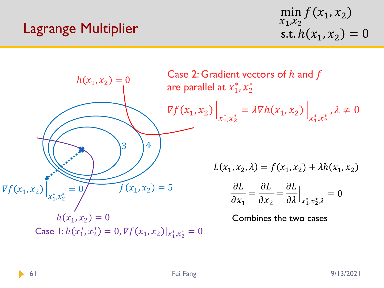#### Lagrange Multiplier

$$
\min_{x_1, x_2} f(x_1, x_2)
$$
  
s.t.  $h(x_1, x_2) = 0$ 

 $f(x_1, x_2) = 5$ 3 4  $h(x_1, x_2) = 0$  $\nabla f(x_1, x_2)\n\big|$  $x_1^*, x_2^* = \lambda \nabla h(x_1, x_2)$  $x_1^*,x_2^*$ ,  $\lambda \neq 0$ Case 2: Gradient vectors of  $h$  and  $f$ are parallel at  $x_1^*,x_2^*$  $L(x_1, x_2, \lambda) = f(x_1, x_2) + \lambda h(x_1, x_2)$  $\partial L$  $\partial x_1$ =  $\partial L$  $\partial x_2$ =  $\partial L$  $\partial \lambda$  $\overline{\phantom{a}}$  $x_1^*,x_2^*,\lambda$  $= 0$  $h(x_1, x_2) = 0$ Case  $1: h(x_1^*, x_2^*) = 0, \nabla f(x_1, x_2)|_{x_1^*, x_2^*} = 0$ Combines the two cases  $\nabla f(x_1, x_2)$  $x_1^*,x_2^*$  $= 0$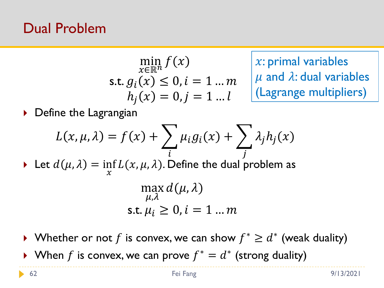#### Dual Problem

$$
\min_{x \in \mathbb{R}^n} f(x)
$$
  
s.t.  $g_i(x) \le 0, i = 1 ... m$   
 $h_j(x) = 0, j = 1 ... l$ 

 $x:$  primal variables  $\mu$  and  $\lambda$ : dual variables (Lagrange multipliers)

▶ Define the Lagrangian

$$
L(x, \mu, \lambda) = f(x) + \sum_{i} \mu_{i} g_{i}(x) + \sum_{j} \lambda_{j} h_{j}(x)
$$
  
Let  $d(\mu, \lambda) = \inf_{x} L(x, \mu, \lambda)$ . Define the dual problem as  

$$
\max_{\mu, \lambda} d(\mu, \lambda)
$$
  
s.t.  $\mu_{i} \ge 0, i = 1 ... m$ 

▶ Whether or not f is convex, we can show  $f^* \geq d^*$  (weak duality) ▶ When f is convex, we can prove  $f^* = d^*$  (strong duality)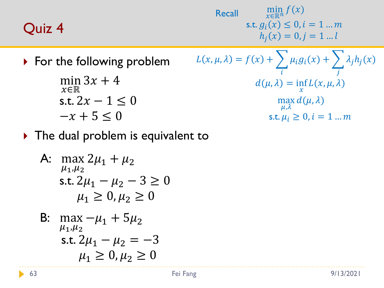#### Quiz 4

min  $x \in \mathbb{R}^n$  $f(x)$ s.t.  $g_i(x) \le 0, i = 1 ... m$  $h_j(x) = 0, j = 1...l$ **Recall** 

▶ For the following problem

$$
\min_{x \in \mathbb{R}} 3x + 4
$$
  
s.t.  $2x - 1 \le 0$   
 $-x + 5 \le 0$ 

The following problem

\n
$$
L(x, \mu, \lambda) = f(x) + \sum_{i} \mu_{i} g_{i}(x) + \sum_{j} \lambda_{j} h_{j}(x)
$$
\n
$$
\min_{x \in \mathbb{R}} 3x + 4
$$
\n
$$
d(\mu, \lambda) = \inf_{x} L(x, \mu, \lambda)
$$
\ns.t.

\n
$$
2x - 1 \leq 0
$$
\n
$$
\max_{\mu, \lambda} d(\mu, \lambda)
$$
\n
$$
-x + 5 \leq 0
$$
\ns.t.

\n
$$
\mu_{i} \geq 0, i = 1 \dots m
$$

The dual problem is equivalent to

A: 
$$
\max_{\mu_1, \mu_2} 2\mu_1 + \mu_2
$$
  
s.t.  $2\mu_1 - \mu_2 - 3 \ge 0$   
 $\mu_1 \ge 0, \mu_2 \ge 0$ 

B: 
$$
\max_{\mu_1, \mu_2} -\mu_1 + 5\mu_2
$$
  
s.t.  $2\mu_1 - \mu_2 = -3$   
 $\mu_1 \ge 0, \mu_2 \ge 0$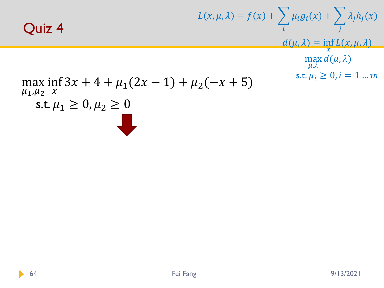

$$
L(x, \mu, \lambda) = f(x) + \sum_{i} \mu_{i}g_{i}(x) + \sum_{j} \lambda_{j}h_{j}(x)
$$

$$
d(\mu, \lambda) = \inf_{\substack{x \\ \max d(\mu, \lambda)}} d(\mu, \lambda)
$$

$$
3x + 4 + \mu_{1}(2x - 1) + \mu_{2}(-x + 5)
$$
 s.t.  $\mu_{i} \ge 0, i = 1 ... m$ 

#### max  $\mu_1, \mu_2$ inf  $\mathcal{X}$ s.t.  $\mu_1 \geq 0, \mu_2 \geq 0$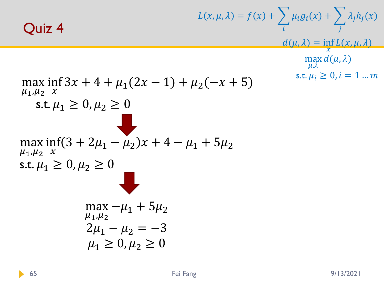#### Quiz 4

max  $\mu_1, \mu_2$  inf  $\mathcal{X}$ 

$$
L(x, \mu, \lambda) = f(x) + \sum_{i} \mu_{i}g_{i}(x) + \sum_{j} \lambda_{j}h_{j}(x)
$$
  

$$
\frac{d(\mu, \lambda)}{\mu, \lambda} = \inf_{\mu, \lambda} L(x, \mu, \lambda)
$$
  

$$
3x + 4 + \mu_{1}(2x - 1) + \mu_{2}(-x + 5)
$$
  

$$
\geq 0, \mu_{2} \geq 0
$$
  

$$
\geq 0, \mu_{2} \geq 0
$$

max<sub>μ<sub>1</sub>,μ<sub>2</sub></sub> 
$$
\lim_{x \to \mu_1 + \mu_2} \frac{1}{x} \left(3 + 2\mu_1 - \mu_2\right)x + 4 - \mu_1 + 5\mu_2
$$

I,

$$
\text{s.t. } \mu_1 \ge 0, \mu_2 \ge 0
$$

s.t.  $\mu_1 \geq 0, \mu_2 \geq 0$ 

$$
\max_{\mu_1, \mu_2} -\mu_1 + 5\mu_2
$$
  
2\mu\_1 - \mu\_2 = -3  
 $\mu_1 \ge 0, \mu_2 \ge 0$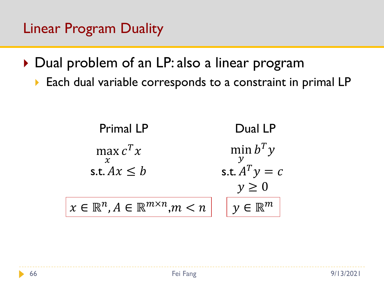- ▶ Dual problem of an LP: also a linear program
	- ▶ Each dual variable corresponds to a constraint in primal LP

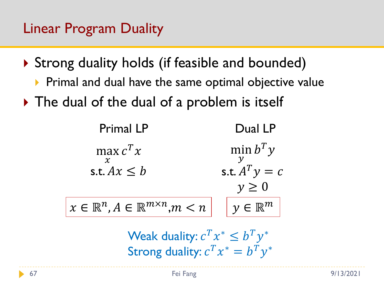- ▶ Strong duality holds (if feasible and bounded)
	- $\triangleright$  Primal and dual have the same optimal objective value
- $\triangleright$  The dual of the dual of a problem is itself



Weak duality:  $c^T x^* \leq b^T y^*$ Strong duality:  $c^T x^* = b^T y^*$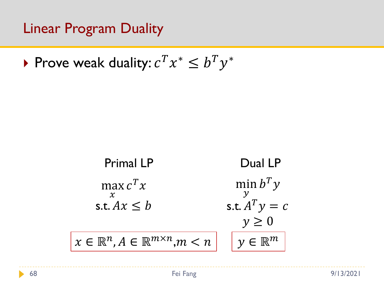▶ Prove weak duality:  $c^T x^* \leq b^T y^*$ 

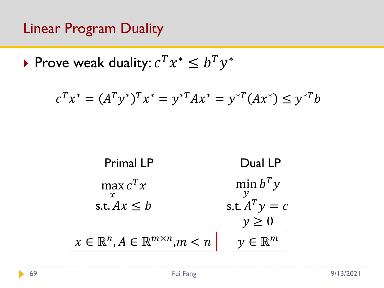▶ Prove weak duality:  $c^T x^* \leq b^T y^*$ 

$$
c^T x^* = (A^T y^*)^T x^* = y^{*T} A x^* = y^{*T} (A x^*) \le y^{*T} b
$$

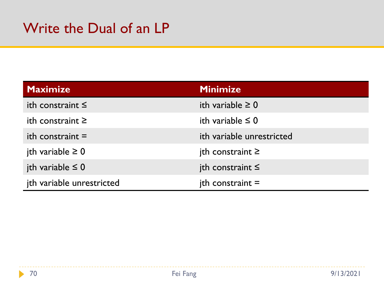| <b>Maximize</b>           | <b>Minimize</b>           |
|---------------------------|---------------------------|
| ith constraint $\leq$     | ith variable $\geq 0$     |
| ith constraint $\geq$     | ith variable $\leq 0$     |
| ith constraint $=$        | ith variable unrestricted |
| jth variable $\geq 0$     | $ith$ constraint $\geq$   |
| jth variable $\leq 0$     | $ith$ constraint $\leq$   |
| jth variable unrestricted | $ith$ constraint =        |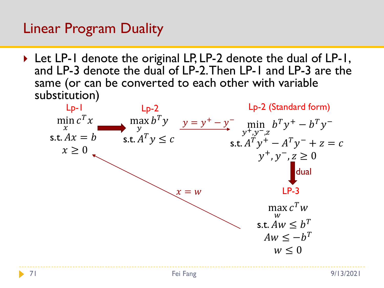▶ Let LP-1 denote the original LP, LP-2 denote the dual of LP-1, and LP-3 denote the dual of LP-2. Then LP-1 and LP-3 are the same (or can be converted to each other with variable substitution)

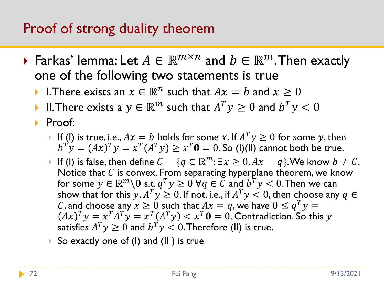#### Proof of strong duality theorem

- Farkas' lemma: Let  $A \in \mathbb{R}^{m \times n}$  and  $b \in \mathbb{R}^m.$  Then exactly one of the following two statements is true
	- I. There exists an  $x \in \mathbb{R}^n$  such that  $Ax = b$  and  $x \ge 0$
	- $\blacktriangleright$  II. There exists a  $y\in \mathbb{R}^m$  such that  $A^Ty\geq 0$  and  $b^Ty< 0$
	- ▶ Proof:
		- $\blacktriangleright$  If (I) is true, i.e.,  $Ax=b$  holds for some  $x.$  If  $A^Ty\geq 0$  for some  $y,$  then  $b^T y = (Ax)^T y = x^T (A^T y) \ge x^T 0 = 0$ . So (I)(II) cannot both be true.
		- If (I) is false, then define  $C = \{ q \in \mathbb{R}^m : \exists x \geq 0, Ax = q \}.$  We know  $b \neq C$ . Notice that  $C$  is convex. From separating hyperplane theorem, we know for some  $y \in \mathbb{R}^m \backslash \mathbf{0}$  s.t.  $q^T y \geq 0 \ \forall q \in \widetilde{C}$  and  $b^T y < 0.$  Then we can show that for this  $y, A^T y \geq 0.$  If not, i.e., if  $A^T y < 0,$  then choose any  $q \in$ C, and choose any  $x \ge 0$  such that  $Ax = q$ , we have  $0 \le q^T y =$  $A x)^T y = x^T A^T y = x^T (A^T y) < x^T \mathbf{0} = 0.$  Contradiction. So this  $y$ satisfies  $A^T y \geq 0$  and  $b^T y < 0.$  Therefore (II) is true.

▶ So exactly one of (l) and (ll) is true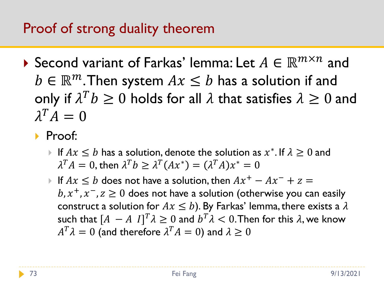## Proof of strong duality theorem

- Second variant of Farkas' lemma: Let  $A \in \mathbb{R}^{m \times n}$  and  $b \in \mathbb{R}^m$ . Then system  $Ax \leq b$  has a solution if and only if  $\lambda^T b \geq 0$  holds for all  $\lambda$  that satisfies  $\lambda \geq 0$  and  $\lambda^T A = 0$ 
	- Proof:
		- ► If  $Ax \leq b$  has a solution, denote the solution as  $x^*$ . If  $\lambda \geq 0$  and  $\lambda^TA=0,$  then  $\lambda^Tb\geq \lambda^T(Ax^*)=(\lambda^TA)x^*=0$
		- If  $Ax \leq b$  does not have a solution, then  $Ax^+ Ax^- + z = 0$  $b$ ,  $x^{+}$ ,  $x^{-}$ ,  $z \ge 0$  does not have a solution (otherwise you can easily construct a solution for  $Ax \leq b$ ). By Farkas' lemma, there exists a  $\lambda$ such that  $[A \, - A \, I]^T \lambda \geq 0$  and  $b^T \lambda < 0.$  Then for this  $\lambda$ , we know  $A^T\lambda = 0$  (and therefore  $\lambda^TA = 0$ ) and  $\lambda \geq 0$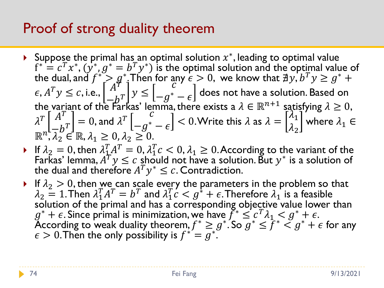# Proof of strong duality theorem

- ▶ Suppose the primal has an optimal solution  $x^*$ , leading to optimal value  $f^* = c^T x^*, (y^*, g^* = b^T y^*)$  is the optimal solution and the optimal value of the dual, and  $f^* > g^*$  Then for any  $\epsilon > 0$ , we know that  $\exists y, b^T y \geq g^* + \epsilon$ , <sup>≤</sup> , i.e.,  $\left[\frac{A}{-b^T}\right]$  y  $\leq$  $\overline{\mathcal{C}}$  $-e^{\big(1\big)}-\epsilon\big]$  does not have a solution. Based on the variant of the Farkas' lemma, there exists a  $\lambda \in \mathbb{R}^{n+1}$  satisfying  $\lambda \geq 0$ ,  $\lambda$  $T\int A^T$  $\begin{bmatrix} A^T \\ -b^T \end{bmatrix} = 0$ , and  $\lambda^T \begin{bmatrix} c \\ -g^* \end{bmatrix}$  $\left\lfloor -g^{\ast}-\epsilon\right\rfloor \leq 0.$  Write this  $\lambda$  as  $\lambda=0$  $\lambda_1$  $\lambda_2$ where  $\lambda_1 \in$  $\mathbb{R}^n, \overline{\lambda}_2^{\nu} \in \mathbb{R}, \lambda_1 \geq 0, \lambda_2 \geq 0.$
- If  $\lambda_2 = 0$ , then  $\lambda_1^T A^T = 0$ ,  $\lambda_1^T c < 0$ ,  $\lambda_1 \ge 0$ . According to the variant of the Farkas' lemma,  $A^T y \leq c$  should not have a solution. But  $y^*$  is a solution of the dual and therefore  $A^T y^* \leq c$ . Contradiction.
- If  $\lambda_2 > 0$ , then we can scale every the parameters in the problem so that  $\lambda_2 = 1$ . Then  $\lambda_1^T A^T = b^T$  and  $\lambda_1^T c < g^* + \epsilon$ . Therefore  $\lambda_1$  is a feasible solution of the primal and has a corresponding objective value lower than  $g^* + \epsilon$ . Since primal is minimization, we have  $\int_{-\epsilon}^{\epsilon} \leq c^T \lambda_1 \leq g^* + \epsilon$ . According to weak duality theorem,  $f^* \geq g^*$ . So  $\overline{g}^* \leq \overline{f}^* \leq g^* + \epsilon$  for any  $\epsilon > 0$ . Then the only possibility is  $f^{*'} = g^{*}$ .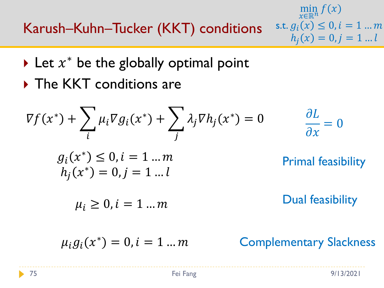Karush–Kuhn–Tucker (KKT) conditions

- min  $\widetilde{x} \in \mathbb{R}^n$  $f(x)$ s.t.  $g_i(x) \le 0, i = 1 ... m$  $h_i(x) = 0, j = 1...l$
- $\blacktriangleright$  Let  $x^*$  be the globally optimal point
- ▶ The KKT conditions are

$$
\nabla f(x^*) + \sum_{i} \mu_i \nabla g_i(x^*) + \sum_{j} \lambda_j \nabla h_j(x^*) = 0 \qquad \frac{\partial L}{\partial x} = 0
$$
  
\n
$$
g_i(x^*) \le 0, i = 1 ... m
$$
Primal feasibility  
\n
$$
h_j(x^*) = 0, j = 1 ... l
$$
Dual feasibility  
\n
$$
\mu_i \ge 0, i = 1 ... m
$$
Onal feasibility  
\n
$$
\mu_i g_i(x^*) = 0, i = 1 ... m
$$
Complementary Slackness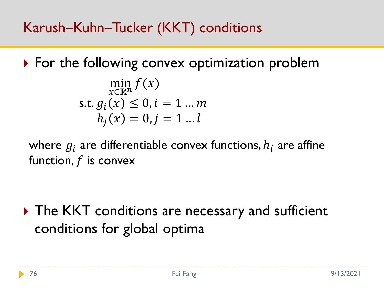▶ For the following convex optimization problem

$$
\min_{x \in \mathbb{R}^n} f(x)
$$
  
s.t.  $g_i(x) \le 0, i = 1 ... m$   
 $h_j(x) = 0, j = 1 ... l$ 

where  $q_i$  are differentiable convex functions,  $h_i$  are affine function,  $f$  is convex

▶ The KKT conditions are necessary and sufficient conditions for global optima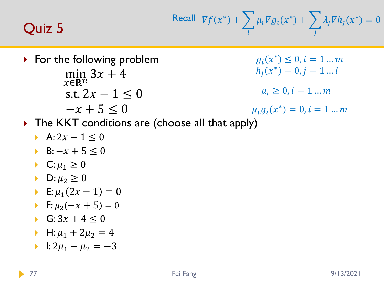## Quiz 5

Recall 
$$
\nabla f(x^*) + \sum_i \mu_i \nabla g_i(x^*) + \sum_j \lambda_j \nabla h_j(x^*) = 0
$$

- $\triangleright$  For the following problem  $\min_{\mathbf{m}} 3x + 4$  $r \in \mathbb{R}^n$ 
	- s.t.  $2x 1 \leq 0$
	- $-x + 5 < 0$

 $g_i(x^*) \leq 0, i = 1...m$  $h_j(x^*) = 0, j = 1...l$ 

$$
\mu_i \geq 0, i = 1 \dots m
$$

 $\mu_i g_i(x^*) = 0, i = 1 ... m$ 

- ▶ The KKT conditions are (choose all that apply)
	- A:  $2x 1 \le 0$
	- $B: -x + 5 < 0$
	- C:  $\mu_1 \geq 0$
	- $\blacktriangleright$  D:  $\mu_2 \geq 0$
	- E:  $\mu_1 (2x 1) = 0$
	- F:  $\mu_2(-x+5) = 0$
	- G:  $3x + 4 < 0$
	- $H: \mu_1 + 2\mu_2 = 4$
	- $\triangleright$  1: 2 $\mu_1 \mu_2 = -3$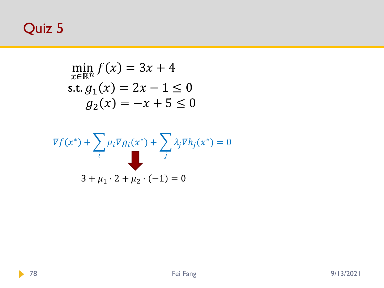# Quiz 5

$$
\min_{x \in \mathbb{R}^n} f(x) = 3x + 4
$$
  
s.t.  $g_1(x) = 2x - 1 \le 0$   
 $g_2(x) = -x + 5 \le 0$ 

$$
\nabla f(x^*) + \sum_i \mu_i \nabla g_i(x^*) + \sum_j \lambda_j \nabla h_j(x^*) = 0
$$
  
3 +  $\mu_1 \cdot 2 + \mu_2 \cdot (-1) = 0$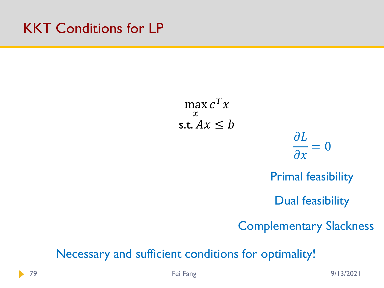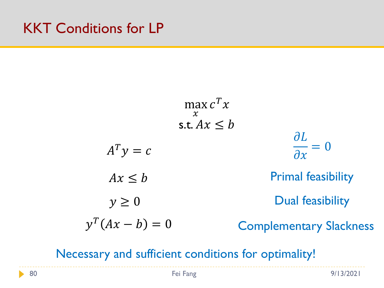$$
\max_{x} c^{T} x
$$
  
s.t.  $Ax \leq b$   
 $A^{T} y = c$   
 $Ax \leq b$   
 $y \geq 0$   
 $\text{Primal feasibility}$   
 $y^{T} (Ax - b) = 0$   
Complex *Complementary Slackness*

Necessary and sufficient conditions for optimality!

ь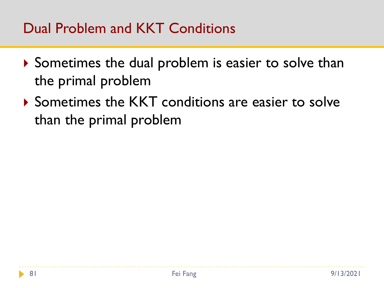# Dual Problem and KKT Conditions

- Sometimes the dual problem is easier to solve than the primal problem
- ▶ Sometimes the KKT conditions are easier to solve than the primal problem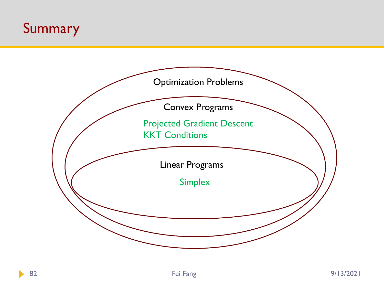# Summary

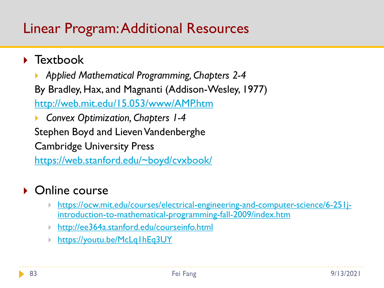## Linear Program: Additional Resources

#### ▶ Textbook

 *Applied Mathematical Programming, Chapters 2-4* By Bradley, Hax, and Magnanti (Addison-Wesley, 1977) <http://web.mit.edu/15.053/www/AMP.htm>

 *Convex Optimization, Chapters 1-4* Stephen Boyd and Lieven Vandenberghe Cambridge University Press <https://web.stanford.edu/~boyd/cvxbook/>

#### ▶ Online course

- [https://ocw.mit.edu/courses/electrical-engineering-and-computer-science/6-251j](https://ocw.mit.edu/courses/electrical-engineering-and-computer-science/6-251j-introduction-to-mathematical-programming-fall-2009/index.htm)introduction-to-mathematical-programming-fall-2009/index.htm
- [http://ee364a.stanford.edu/courseinfo.html](https://youtu.be/McLq1hEq3UY)
- <https://youtu.be/McLq1hEq3UY>